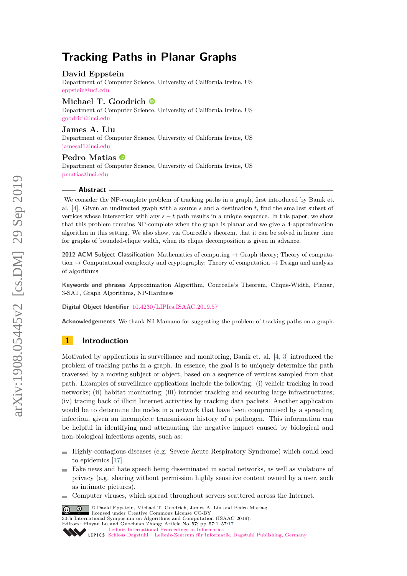# **Tracking Paths in Planar Graphs**

### **David Eppstein**

Department of Computer Science, University of California Irvine, US [eppstein@uci.edu](mailto:eppstein@uci.edu)

# **Michael T. Goodrich**

Department of Computer Science, University of California Irvine, US [goodrich@uci.edu](mailto:goodrich@uci.edu)

#### **James A. Liu**

Department of Computer Science, University of California Irvine, US [jamesal1@uci.edu](mailto:jamesal1@uci.edu)

# **Pedro Matias**

Department of Computer Science, University of California Irvine, US [pmatias@uci.edu](mailto:pmatias@uci.edu)

#### **Abstract**

We consider the NP-complete problem of tracking paths in a graph, first introduced by Banik et. al. [\[4\]](#page-11-0). Given an undirected graph with a source *s* and a destination *t*, find the smallest subset of vertices whose intersection with any  $s - t$  path results in a unique sequence. In this paper, we show that this problem remains NP-complete when the graph is planar and we give a 4-approximation algorithm in this setting. We also show, via Courcelle's theorem, that it can be solved in linear time for graphs of bounded-clique width, when its clique decomposition is given in advance.

**2012 ACM Subject Classification** Mathematics of computing → Graph theory; Theory of computation  $\rightarrow$  Computational complexity and cryptography; Theory of computation  $\rightarrow$  Design and analysis of algorithms

**Keywords and phrases** Approximation Algorithm, Courcelle's Theorem, Clique-Width, Planar, 3-SAT, Graph Algorithms, NP-Hardness

**Digital Object Identifier** [10.4230/LIPIcs.ISAAC.2019.57](https://doi.org/10.4230/LIPIcs.ISAAC.2019.57)

**Acknowledgements** We thank Nil Mamano for suggesting the problem of tracking paths on a graph.

# **1 Introduction**

Motivated by applications in surveillance and monitoring, Banik et. al. [\[4,](#page-11-0) [3\]](#page-11-1) introduced the problem of tracking paths in a graph. In essence, the goal is to uniquely determine the path traversed by a moving subject or object, based on a sequence of vertices sampled from that path. Examples of surveillance applications include the following: (i) vehicle tracking in road networks; (ii) habitat monitoring; (iii) intruder tracking and securing large infrastructures; (iv) tracing back of illicit Internet activities by tracking data packets. Another application would be to determine the nodes in a network that have been compromised by a spreading infection, given an incomplete transmission history of a pathogen. This information can be helpful in identifying and attenuating the negative impact caused by biological and non-biological infectious agents, such as:

- Highly-contagious diseases (e.g. Severe Acute Respiratory Syndrome) which could lead  $\mathbf{r}$ to epidemics [\[17\]](#page-12-0).
- Fake news and hate speech being disseminated in social networks, as well as violations of  $\mathbf{r}$ privacy (e.g. sharing without permission highly sensitive content owned by a user, such as intimate pictures).
- Computer viruses, which spread throughout servers scattered across the Internet.  $\rightarrow$

© David Eppstein, Michael T. Goodrich, James A. Liu and Pedro Matias;  $\boxed{6}$   $\boxed{0}$ licensed under Creative Commons License CC-BY 30th International Symposium on Algorithms and Computation (ISAAC 2019). Editors: Pinyan Lu and Guochuan Zhang; Article No. 57; pp. 57:1–57[:17](#page-16-0) Leibniz International Proceedings in Informatic

[Schloss Dagstuhl – Leibniz-Zentrum für Informatik, Dagstuhl Publishing, Germany](https://www.dagstuhl.de)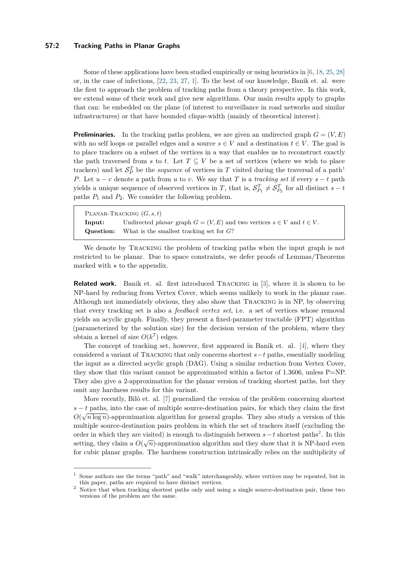#### **57:2 Tracking Paths in Planar Graphs**

Some of these applications have been studied empirically or using heuristics in [\[6,](#page-11-2) [18,](#page-12-1) [25,](#page-12-2) [28\]](#page-12-3) or, in the case of infections, [\[22,](#page-12-4) [23,](#page-12-5) [27,](#page-12-6) [1\]](#page-11-3). To the best of our knowledge, Banik et. al. were the first to approach the problem of tracking paths from a theory perspective. In this work, we extend some of their work and give new algorithms. Our main results apply to graphs that can: be embedded on the plane (of interest to surveillance in road networks and similar infrastructures) or that have bounded clique-width (mainly of theoretical interest).

**Preliminaries.** In the tracking paths problem, we are given an undirected graph  $G = (V, E)$ with no self loops or parallel edges and a source  $s \in V$  and a destination  $t \in V$ . The goal is to place trackers on a subset of the vertices in a way that enables us to reconstruct exactly the path traversed from *s* to *t*. Let  $T \subseteq V$  be a set of vertices (where we wish to place trackers) and let  $S_P^T$  be the *sequence* of vertices in  $T$  visited during the traversal of a path<sup>[1](#page-1-0)</sup> *P*. Let  $u - v$  denote a path from  $u$  to  $v$ . We say that  $T$  is a *tracking set* if every  $s - t$  path yields a unique sequence of observed vertices in *T*, that is,  $S_{P_1}^T \neq S_{P_2}^T$  for all distinct  $s - t$ paths  $P_1$  and  $P_2$ . We consider the following problem.

Planar-Tracking (*G, s, t*) **Input:** Undirected *planar* graph  $G = (V, E)$  and two vertices  $s \in V$  and  $t \in V$ . **Question:** What is the smallest tracking set for *G*?

We denote by TRACKING the problem of tracking paths when the input graph is not restricted to be planar. Due to space constraints, we defer proofs of Lemmas/Theorems marked with  $\star$  to the appendix.

**Related work.** Banik et. al. first introduced TRACKING in [\[3\]](#page-11-1), where it is shown to be NP-hard by reducing from Vertex Cover, which seems unlikely to work in the planar case. Although not immediately obvious, they also show that Tracking is in NP, by observing that every tracking set is also a *feedback vertex set*, i.e. a set of vertices whose removal yields an acyclic graph. Finally, they present a fixed-parameter tractable (FPT) algorithm (parameterized by the solution size) for the decision version of the problem, where they obtain a kernel of size  $O(k^7)$  edges.

The concept of tracking set, however, first appeared in Banik et. al. [\[4\]](#page-11-0), where they considered a variant of Tracking that only concerns shortest *s*−*t* paths, essentially modeling the input as a directed acyclic graph (DAG). Using a similar reduction from Vertex Cover, they show that this variant cannot be approximated within a factor of 1*.*3606, unless P=NP. They also give a 2-approximation for the planar version of tracking shortest paths, but they omit any hardness results for this variant.

More recently, Bilò et. al. [\[7\]](#page-11-4) generalized the version of the problem concerning shortest  $s - t$  paths, into the case of multiple source-destination pairs, for which they claim the first  $O(\sqrt{n \log n})$ -approximation algorithm for general graphs. They also study a version of this multiple source-destination pairs problem in which the set of trackers itself (excluding the order in which they are visited) is enough to distinguish between  $s - t$  shortest paths<sup>[2](#page-1-1)</sup>. In this setting, they claim a  $O(\sqrt{n})$ -approximation algorithm and they show that it is NP-hard even for cubic planar graphs. The hardness construction intrinsically relies on the multiplicity of

<span id="page-1-0"></span><sup>&</sup>lt;sup>1</sup> Some authors use the terms "path" and "walk" interchangeably, where vertices may be repeated, but in this paper, paths are required to have distinct vertices.

<span id="page-1-1"></span><sup>&</sup>lt;sup>2</sup> Notice that when tracking shortest paths only and using a single source-destination pair, these two versions of the problem are the same.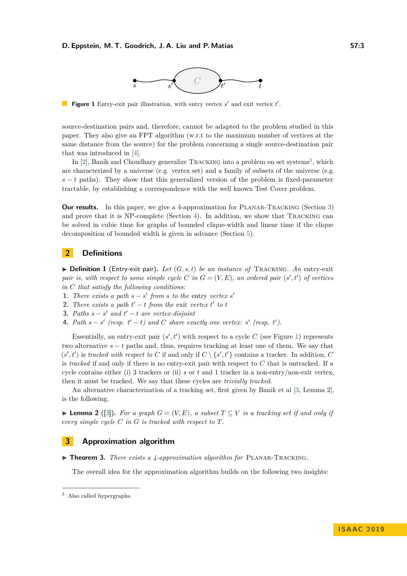

<span id="page-2-2"></span>**Figure 1** Entry-exit pair illustration, with entry vertex  $s'$  and exit vertex  $t'$ .

source-destination pairs and, therefore, cannot be adapted to the problem studied in this paper. They also give an FPT algorithm (w.r.t to the maximum number of vertices at the same distance from the source) for the problem concerning a single source-destination pair that was introduced in [\[4\]](#page-11-0).

In  $[2]$ , Banik and Choudhary generalize TRACKING into a problem on set systems<sup>[3](#page-2-0)</sup>, which are characterized by a universe (e.g. vertex set) and a family of subsets of the universe (e.g.  $s - t$  paths). They show that this generalized version of the problem is fixed-parameter tractable, by establishing a correspondence with the well known Test Cover problem.

**Our results.** In this paper, we give a 4-approximation for PLANAR-TRACKING (Section [3\)](#page-2-1) and prove that it is NP-complete (Section [4\)](#page-7-0). In addition, we show that Tracking can be solved in cubic time for graphs of bounded clique-width and linear time if the clique decomposition of bounded width is given in advance (Section [5\)](#page-9-0).

# **2 Definitions**

<span id="page-2-3"></span> $\triangleright$  **Definition 1** (Entry-exit pair). Let  $(G, s, t)$  be an instance of TRACKING. An entry-exit *pair is, with respect to some simple cycle C in*  $G = (V, E)$ *, an ordered pair*  $(s', t')$  *of vertices in C that satisfy the following conditions:*

- **1.** *There exists a path*  $s s'$  *from s to the entry vertex*  $s'$
- **2.** *There exists a path*  $t' t$  *from the exit vertex*  $t'$  *to*  $t$
- **3.** *Paths*  $s s'$  *and*  $t' t$  *are vertex-disjoint*
- **4.** Path  $s s'$  (resp.  $t' t$ ) and C share exactly one vertex:  $s'$  (resp.  $t'$ ).

Essentially, an entry-exit pair  $(s', t')$  with respect to a cycle C (see Figure [1\)](#page-2-2) represents two alternative  $s - t$  paths and, thus, requires tracking at least one of them. We say that  $(s', t')$  is *tracked with respect to C* if and only if  $C \setminus \{s', t'\}$  contains a tracker. In addition, *C* is *tracked* if and only if there is no entry-exit pair with respect to *C* that is untracked. If a cycle contains either (i) 3 trackers or (ii) *s* or *t* and 1 tracker in a non-entry/non-exit vertex, then it must be tracked. We say that these cycles are *trivially tracked*.

An alternative characterization of a tracking set, first given by Banik et al [\[3,](#page-11-1) Lemma 2], is the following.

<span id="page-2-5"></span>**► Lemma 2** ([\[3\]](#page-11-1)). For a graph  $G = (V, E)$ , a subset  $T \subseteq V$  is a tracking set if and only if *every simple cycle C in G is tracked with respect to T.*

#### <span id="page-2-1"></span>**3 Approximation algorithm**

<span id="page-2-4"></span>▶ **Theorem 3.** *There exists a 4-approximation algorithm for* PLANAR-TRACKING.

The overall idea for the approximation algorithm builds on the following two insights:

<span id="page-2-0"></span><sup>3</sup> Also called hypergraphs.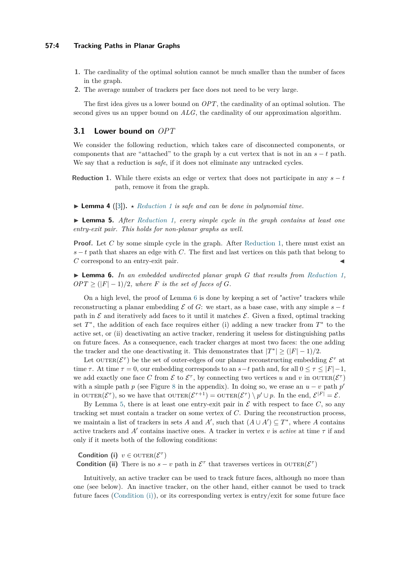- **1.** The cardinality of the optimal solution cannot be much smaller than the number of faces in the graph.
- **2.** The average number of trackers per face does not need to be very large.

The first idea gives us a lower bound on *OPT*, the cardinality of an optimal solution. The second gives us an upper bound on *ALG*, the cardinality of our approximation algorithm.

### **3.1 Lower bound on** *OPT*

We consider the following reduction, which takes care of disconnected components, or components that are "attached" to the graph by a cut vertex that is not in an  $s - t$  path. We say that a reduction is *safe*, if it does not eliminate any untracked cycles.

- <span id="page-3-0"></span>**Reduction 1.** While there exists an edge or vertex that does not participate in any  $s - t$ path, remove it from the graph.
- <span id="page-3-5"></span> $\blacktriangleright$  **Lemma 4** ([\[3\]](#page-11-1)).  $\star$  *[Reduction 1](#page-3-0) is safe and can be done in polynomial time.*

<span id="page-3-2"></span>I **Lemma 5.** *After [Reduction 1,](#page-3-0) every simple cycle in the graph contains at least one entry-exit pair. This holds for non-planar graphs as well.*

**Proof.** Let C by some simple cycle in the graph. After [Reduction 1,](#page-3-0) there must exist an *s* − *t* path that shares an edge with *C*. The first and last vertices on this path that belong to *C* correspond to an entry-exit pair.

<span id="page-3-1"></span>I **Lemma 6.** *In an embedded undirected planar graph G that results from [Reduction 1,](#page-3-0)*  $OPT \geq (|F| - 1)/2$ , where *F is the set of faces of G*.

On a high level, the proof of Lemma [6](#page-3-1) is done by keeping a set of "active" trackers while reconstructing a planar embedding  $\mathcal E$  of  $G$ : we start, as a base case, with any simple  $s - t$ path in  $\mathcal E$  and iteratively add faces to it until it matches  $\mathcal E$ . Given a fixed, optimal tracking set *T*<sup>\*</sup>, the addition of each face requires either (i) adding a new tracker from *T*<sup>\*</sup> to the active set, or (ii) deactivating an active tracker, rendering it useless for distinguishing paths on future faces. As a consequence, each tracker charges at most two faces: the one adding the tracker and the one deactivating it. This demonstrates that  $|T^*| \geq (|F| - 1)/2$ .

Let  $\text{OUTER}(\mathcal{E}^{\tau})$  be the set of outer-edges of our planar reconstructing embedding  $\mathcal{E}^{\tau}$  at time  $\tau$ . At time  $\tau = 0$ , our embedding corresponds to an  $s-t$  path and, for all  $0 \leq \tau \leq |F|-1$ , we add exactly one face C from  $\mathcal{E}$  to  $\mathcal{E}^{\tau}$ , by connecting two vertices *u* and *v* in OUTER( $\mathcal{E}^{\tau}$ ) with a simple path *p* (see Figure [8](#page-13-0) in the appendix). In doing so, we erase an  $u - v$  path  $p'$ in OUTER $(\mathcal{E}^{\tau})$ , so we have that OUTER $(\mathcal{E}^{\tau+1}) =$  OUTER $(\mathcal{E}^{\tau}) \setminus p' \cup p$ . In the end,  $\mathcal{E}^{|F|} = \mathcal{E}$ .

By Lemma [5,](#page-3-2) there is at least one entry-exit pair in  $\mathcal E$  with respect to face  $C$ , so any tracking set must contain a tracker on some vertex of *C*. During the reconstruction process, we maintain a list of trackers in sets *A* and *A'*, such that  $(A \cup A') \subseteq T^*$ , where *A* contains active trackers and  $A'$  contains inactive ones. A tracker in vertex *v* is *active* at time  $\tau$  if and only if it meets both of the following conditions:

# <span id="page-3-3"></span>**Condition (i)**  $v \in \text{OUTER}(\mathcal{E}^{\tau})$

<span id="page-3-4"></span>**Condition (ii)** There is no  $s - v$  path in  $\mathcal{E}^{\tau}$  that traverses vertices in OUTER( $\mathcal{E}^{\tau}$ )

Intuitively, an active tracker can be used to track future faces, although no more than one (see below). An inactive tracker, on the other hand, either cannot be used to track future faces [\(Condition \(i\)\)](#page-3-3), or its corresponding vertex is entry/exit for some future face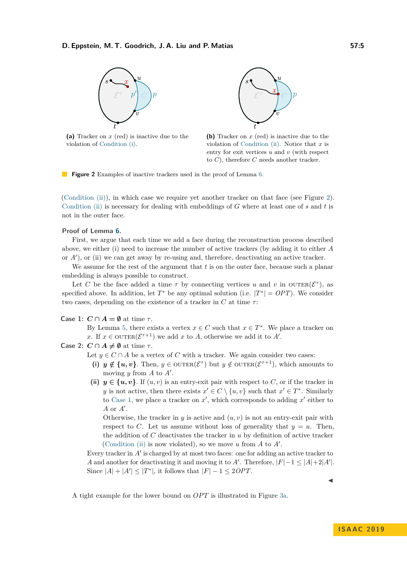<span id="page-4-0"></span>

**(a)** Tracker on *x* (red) is inactive due to the violation of [Condition \(i\).](#page-3-3)



**(b)** Tracker on *x* (red) is inactive due to the violation of [Condition \(ii\).](#page-3-4) Notice that *x* is entry for exit vertices *u* and *v* (with respect to *C*), therefore *C* needs another tracker.

**Figure 2** Examples of inactive trackers used in the proof of Lemma [6.](#page-3-1)

[\(Condition \(ii\)\)](#page-3-4), in which case we require yet another tracker on that face (see Figure [2\)](#page-4-0). [Condition \(ii\)](#page-3-4) is necessary for dealing with embeddings of *G* where at least one of *s* and *t* is not in the outer face.

#### **Proof of Lemma [6.](#page-3-1)**

First, we argue that each time we add a face during the reconstruction process described above, we either (i) need to increase the number of active trackers (by adding it to either *A* or *A'*), or (ii) we can get away by re-using and, therefore, deactivating an active tracker.

We assume for the rest of the argument that *t* is on the outer face, because such a planar embedding is always possible to construct.

Let *C* be the face added a time  $\tau$  by connecting vertices *u* and *v* in OUTER( $\mathcal{E}^{\tau}$ ), as specified above. In addition, let  $T^*$  be any optimal solution (i.e.  $|T^*| = OPT$ ). We consider two cases, depending on the existence of a tracker in  $C$  at time  $\tau$ :

#### <span id="page-4-1"></span>**Case 1:**  $C \cap A = \emptyset$  at time  $\tau$ .

By Lemma [5,](#page-3-2) there exists a vertex  $x \in C$  such that  $x \in T^*$ . We place a tracker on *x*. If  $x \in \text{OUTER}(\mathcal{E}^{\tau+1})$  we add *x* to *A*, otherwise we add it to *A'*.

#### **Case 2:**  $C \cap A \neq \emptyset$  at time  $\tau$ .

- Let  $y \in C \cap A$  be a vertex of *C* with a tracker. We again consider two cases:
	- (i)  $y \notin \{u, v\}$ . Then,  $y \in \text{OUTER}(\mathcal{E}^{\tau})$  but  $y \notin \text{OUTER}(\mathcal{E}^{\tau+1})$ , which amounts to moving  $y$  from  $A$  to  $A'$ .
- (ii)  $y \in \{u, v\}$ . If  $(u, v)$  is an entry-exit pair with respect to C, or if the tracker in *y* is not active, then there exists  $x' \in C \setminus \{u, v\}$  such that  $x' \in T^*$ . Similarly to [Case 1,](#page-4-1) we place a tracker on  $x'$ , which corresponds to adding  $x'$  either to *A* or *A'*.

Otherwise, the tracker in  $y$  is active and  $(u, v)$  is not an entry-exit pair with respect to *C*. Let us assume without loss of generality that  $y = u$ . Then, the addition of *C* deactivates the tracker in *u* by definition of active tracker [\(Condition \(ii\)](#page-3-4) is now violated), so we move  $u$  from  $A$  to  $A'$ .

Every tracker in  $A'$  is charged by at most two faces: one for adding an active tracker to *A* and another for deactivating it and moving it to *A'*. Therefore,  $|F|-1 \leq |A|+2|A'|$ . Since  $|A| + |A'| \leq |T^*|$ , it follows that  $|F| - 1 \leq 2OPT$ .  $\blacktriangleleft$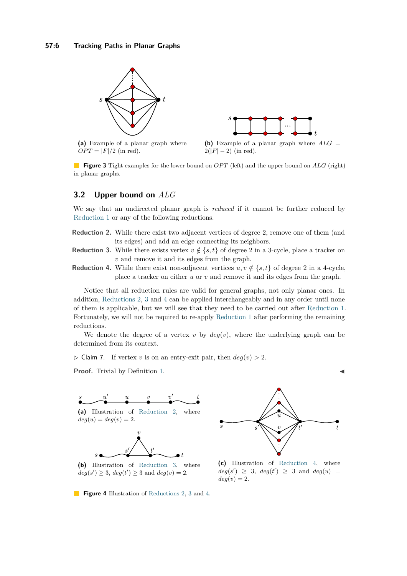<span id="page-5-0"></span>

**(a)** Example of a planar graph where  $OPT = |F|/2$  (in red).



**Figure 3** Tight examples for the lower bound on *OPT* (left) and the upper bound on *ALG* (right) in planar graphs.

# **3.2 Upper bound on** *ALG*

We say that an undirected planar graph is *reduced* if it cannot be further reduced by [Reduction 1](#page-3-0) or any of the following reductions.

- <span id="page-5-1"></span>**Reduction 2.** While there exist two adjacent vertices of degree 2, remove one of them (and its edges) and add an edge connecting its neighbors.
- <span id="page-5-2"></span>**Reduction 3.** While there exists vertex  $v \notin \{s, t\}$  of degree 2 in a 3-cycle, place a tracker on *v* and remove it and its edges from the graph.
- <span id="page-5-3"></span>**Reduction 4.** While there exist non-adjacent vertices  $u, v \notin \{s, t\}$  of degree 2 in a 4-cycle, place a tracker on either *u* or *v* and remove it and its edges from the graph.

Notice that all reduction rules are valid for general graphs, not only planar ones. In addition, [Reductions 2,](#page-5-1) [3](#page-5-2) and [4](#page-5-3) can be applied interchangeably and in any order until none of them is applicable, but we will see that they need to be carried out after [Reduction 1.](#page-3-0) Fortunately, we will not be required to re-apply [Reduction 1](#page-3-0) after performing the remaining reductions.

We denote the degree of a vertex  $v$  by  $deg(v)$ , where the underlying graph can be determined from its context.

<span id="page-5-4"></span> $\triangleright$  Claim 7. If vertex *v* is on an entry-exit pair, then  $deg(v) > 2$ .

**Proof.** Trivial by Definition [1.](#page-2-3)



**(a)** Illustration of [Reduction 2,](#page-5-1) where  $deg(u) = deg(v) = 2.$ 



**(b)** Illustration of [Reduction 3,](#page-5-2) where  $deg(s') \geq 3$ ,  $deg(t') \geq 3$  and  $deg(v) = 2$ .



**(c)** Illustration of [Reduction 4,](#page-5-3) where  $deg(s') \geq 3$ ,  $deg(t') \geq 3$  and  $deg(u) =$  $deg(v) = 2$ .

**Figure 4** Illustration of [Reductions 2,](#page-5-1) [3](#page-5-2) and [4.](#page-5-3)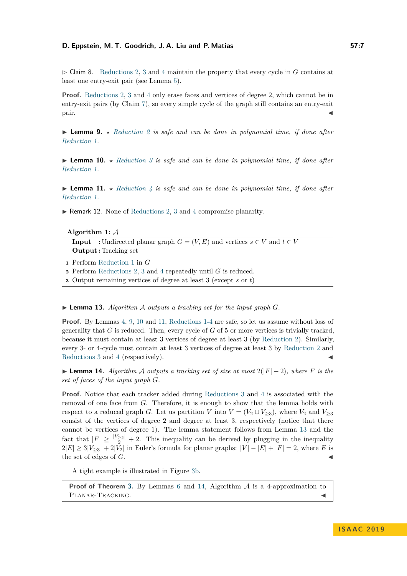$\triangleright$  Claim 8. [Reductions 2,](#page-5-1) [3](#page-5-2) and [4](#page-5-3) maintain the property that every cycle in *G* contains at least one entry-exit pair (see Lemma [5\)](#page-3-2).

**Proof.** [Reductions 2,](#page-5-1) [3](#page-5-2) and [4](#page-5-3) only erase faces and vertices of degree 2, which cannot be in entry-exit pairs (by Claim [7\)](#page-5-4), so every simple cycle of the graph still contains an entry-exit  $\blacksquare$  pair.

<span id="page-6-0"></span>**Lemma 9.**  $\star$  *[Reduction 2](#page-5-1) is safe and can be done in polynomial time, if done after [Reduction 1.](#page-3-0)*

<span id="page-6-1"></span> $\blacktriangleright$  **Lemma 10.**  $\star$  *[Reduction 3](#page-5-2) is safe and can be done in polynomial time, if done after [Reduction 1.](#page-3-0)*

<span id="page-6-2"></span>**I Lemma 11.**  $\star$  *[Reduction 4](#page-5-3) is safe and can be done in polynomial time, if done after [Reduction 1.](#page-3-0)*

 $\blacktriangleright$  Remark 12. None of [Reductions 2,](#page-5-1) [3](#page-5-2) and [4](#page-5-3) compromise planarity.

#### **Algorithm 1:** A

**Input** : Undirected planar graph  $G = (V, E)$  and vertices  $s \in V$  and  $t \in V$ **Output :** Tracking set

**<sup>1</sup>** Perform [Reduction 1](#page-3-0) in *G*

**<sup>2</sup>** Perform [Reductions 2,](#page-5-1) [3](#page-5-2) and [4](#page-5-3) repeatedly until *G* is reduced.

**<sup>3</sup>** Output remaining vertices of degree at least 3 (except *s* or *t*)

#### <span id="page-6-3"></span> $\blacktriangleright$  **Lemma 13.** Algorithm A outputs a tracking set for the input graph G.

**Proof.** By Lemmas [4,](#page-3-5) [9,](#page-6-0) [10](#page-6-1) and [11,](#page-6-2) [Reductions 1](#page-3-0)[-4](#page-5-3) are safe, so let us assume without loss of generality that *G* is reduced. Then, every cycle of *G* of 5 or more vertices is trivially tracked, because it must contain at least 3 vertices of degree at least 3 (by [Reduction 2\)](#page-5-1). Similarly, every 3- or 4-cycle must contain at least 3 vertices of degree at least 3 by [Reduction 2](#page-5-1) and [Reductions 3](#page-5-2) and [4](#page-5-3) (respectively).

<span id="page-6-4"></span>**► Lemma 14.** Algorithm A outputs a tracking set of size at most  $2(|F| - 2)$ , where F is the *set of faces of the input graph G.*

**Proof.** Notice that each tracker added during [Reductions 3](#page-5-2) and [4](#page-5-3) is associated with the removal of one face from *G*. Therefore, it is enough to show that the lemma holds with respect to a reduced graph *G*. Let us partition *V* into  $V = (V_2 \cup V_{\geq 3})$ , where  $V_2$  and  $V_{\geq 3}$ consist of the vertices of degree 2 and degree at least 3, respectively (notice that there cannot be vertices of degree 1). The lemma statement follows from Lemma [13](#page-6-3) and the fact that  $|F| \geq \frac{|V_{\geq 3}|}{2} + 2$ . This inequality can be derived by plugging in the inequality  $2|E| \geq 3|V_{>3}| + 2|\bar{V}_2|$  in Euler's formula for planar graphs:  $|V| - |E| + |F| = 2$ , where *E* is the set of edges of  $G$ .

A tight example is illustrated in Figure [3b.](#page-5-0)

**Proof of Theorem [3.](#page-2-4)** By Lemmas [6](#page-3-1) and [14,](#page-6-4) Algorithm A is a 4-approximation to PLANAR-TRACKING.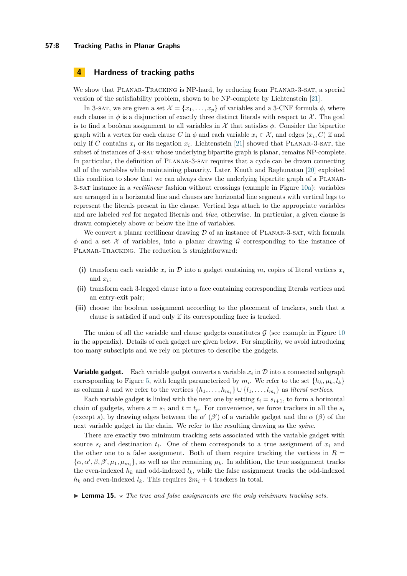#### **57:8 Tracking Paths in Planar Graphs**

# <span id="page-7-0"></span>**4 Hardness of tracking paths**

We show that PLANAR-TRACKING is NP-hard, by reducing from PLANAR-3-SAT, a special version of the satisfiability problem, shown to be NP-complete by Lichtenstein [\[21\]](#page-12-7).

In 3-sat, we are given a set  $\mathcal{X} = \{x_1, \ldots, x_p\}$  of variables and a 3-CNF formula  $\phi$ , where each clause in  $\phi$  is a disjunction of exactly three distinct literals with respect to X. The goal is to find a boolean assignment to all variables in  $\mathcal X$  that satisfies  $\phi$ . Consider the bipartite graph with a vertex for each clause *C* in  $\phi$  and each variable  $x_i \in \mathcal{X}$ , and edges  $(x_i, C)$  if and only if *C* contains  $x_i$  or its negation  $\overline{x_i}$ . Lichtenstein [\[21\]](#page-12-7) showed that PLANAR-3-SAT, the subset of instances of 3-sat whose underlying bipartite graph is planar, remains NP-complete. In particular, the definition of Planar-3-sat requires that a cycle can be drawn connecting all of the variables while maintaining planarity. Later, Knuth and Raghunatan [\[20\]](#page-12-8) exploited this condition to show that we can always draw the underlying bipartite graph of a Planar-3-sat instance in a *rectilinear* fashion without crossings (example in Figure [10a\)](#page-16-1): variables are arranged in a horizontal line and clauses are horizontal line segments with vertical legs to represent the literals present in the clause. Vertical legs attach to the appropriate variables and are labeled *red* for negated literals and *blue*, otherwise. In particular, a given clause is drawn completely above or below the line of variables.

We convert a planar rectilinear drawing  $D$  of an instance of PLANAR-3-SAT, with formula  $\phi$  and a set X of variables, into a planar drawing G corresponding to the instance of PLANAR-TRACKING. The reduction is straightforward:

- (i) transform each variable  $x_i$  in  $D$  into a gadget containing  $m_i$  copies of literal vertices  $x_i$ and  $\overline{x_i}$ ;
- **(ii)** transform each 3-legged clause into a face containing corresponding literals vertices and an entry-exit pair;
- **(iii)** choose the boolean assignment according to the placement of trackers, such that a clause is satisfied if and only if its corresponding face is tracked.

The union of all the variable and clause gadgets constitutes  $G$  (see example in Figure [10](#page-16-1)) in the appendix). Details of each gadget are given below. For simplicity, we avoid introducing too many subscripts and we rely on pictures to describe the gadgets.

<span id="page-7-2"></span>**Variable gadget.** Each variable gadget converts a variable  $x_i$  in  $\mathcal D$  into a connected subgraph corresponding to Figure [5,](#page-8-0) with length parameterized by  $m_i$ . We refer to the set  $\{h_k, \mu_k, l_k\}$ as column *k* and we refer to the vertices  $\{h_1, \ldots, h_{m_i}\} \cup \{l_1, \ldots, l_{m_i}\}$  as *literal vertices*.

Each variable gadget is linked with the next one by setting  $t_i = s_{i+1}$ , to form a horizontal chain of gadgets, where  $s = s_1$  and  $t = t_p$ . For convenience, we force trackers in all the  $s_i$ (except *s*), by drawing edges between the  $\alpha'$  ( $\beta'$ ) of a variable gadget and the  $\alpha$  ( $\beta$ ) of the next variable gadget in the chain. We refer to the resulting drawing as the *spine*.

There are exactly two minimum tracking sets associated with the variable gadget with source  $s_i$  and destination  $t_i$ . One of them corresponds to a true assignment of  $x_i$  and the other one to a false assignment. Both of them require tracking the vertices in  $R =$  $\{\alpha, \alpha', \beta, \beta', \mu_1, \mu_{m_i}\}\$ , as well as the remaining  $\mu_k$ . In addition, the true assignment tracks the even-indexed  $h_k$  and odd-indexed  $l_k$ , while the false assignment tracks the odd-indexed  $h_k$  and even-indexed  $l_k$ . This requires  $2m_i + 4$  trackers in total.

<span id="page-7-1"></span>**I Lemma 15.**  $\star$  The true and false assignments are the only minimum tracking sets.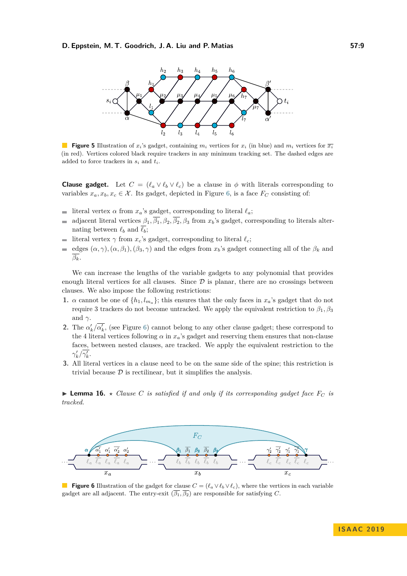<span id="page-8-0"></span>

**Figure 5** Illustration of  $x_i$ 's gadget, containing  $m_i$  vertices for  $x_i$  (in blue) and  $m_i$  vertices for  $\overline{x_i}$ (in red). Vertices colored black require trackers in any minimum tracking set. The dashed edges are added to force trackers in *s<sup>i</sup>* and *ti*.

**Clause gadget.** Let  $C = (\ell_a \vee \ell_b \vee \ell_c)$  be a clause in  $\phi$  with literals corresponding to variables  $x_a, x_b, x_c \in \mathcal{X}$ . Its gadget, depicted in Figure [6,](#page-8-1) is a face  $F_C$  consisting of:

- literal vertex  $\alpha$  from  $x_a$ 's gadget, corresponding to literal  $\ell_a$ ;  $\mathbf{r}$
- adjacent literal vertices  $\beta_1$ ,  $\overline{\beta_1}$ ,  $\beta_2$ ,  $\overline{\beta_2}$ ,  $\beta_3$  from  $x_b$ 's gadget, corresponding to literals alter-Ē. nating between  $\ell_b$  and  $\overline{\ell_b}$ ;
- literal vertex  $\gamma$  from  $x_c$ 's gadget, corresponding to literal  $\ell_c$ ;
- edges  $(\alpha, \gamma)$ ,  $(\alpha, \beta_1)$ ,  $(\beta_3, \gamma)$  and the edges from  $x_b$ 's gadget connecting all of the  $\beta_k$  and  $\overline{a}$  $\overline{\beta_k}$ *.*

We can increase the lengths of the variable gadgets to any polynomial that provides enough literal vertices for all clauses. Since  $D$  is planar, there are no crossings between clauses. We also impose the following restrictions:

- <span id="page-8-2"></span>**1.**  $\alpha$  cannot be one of  $\{h_1, l_{m_a}\}$ ; this ensures that the only faces in  $x_a$ 's gadget that do not require 3 trackers do not become untracked. We apply the equivalent restriction to  $β_1, β_3$ and  $\gamma$ .
- <span id="page-8-4"></span>**2.** The  $\alpha'_k/\overline{\alpha'_k}$ , (see Figure [6\)](#page-8-1) cannot belong to any other clause gadget; these correspond to the 4 literal vertices following  $\alpha$  in  $x_a$ 's gadget and reserving them ensures that non-clause faces, between nested clauses, are tracked. We apply the equivalent restriction to the  $\gamma_k'/\overline{\gamma_k'}$ .
- **3.** All literal vertices in a clause need to be on the same side of the spine; this restriction is trivial because  $\mathcal D$  is rectilinear, but it simplifies the analysis.

<span id="page-8-3"></span> $\blacktriangleright$  **Lemma 16.**  $\star$  *Clause C is satisfied if and only if its corresponding gadget face*  $F_C$  *is tracked.*

<span id="page-8-1"></span>

**Figure 6** Illustration of the gadget for clause  $C = (\ell_a \vee \ell_b \vee \ell_c)$ , where the vertices in each variable gadget are all adjacent. The entry-exit  $(\overline{\beta_1}, \overline{\beta_2})$  are responsible for satisfying *C*.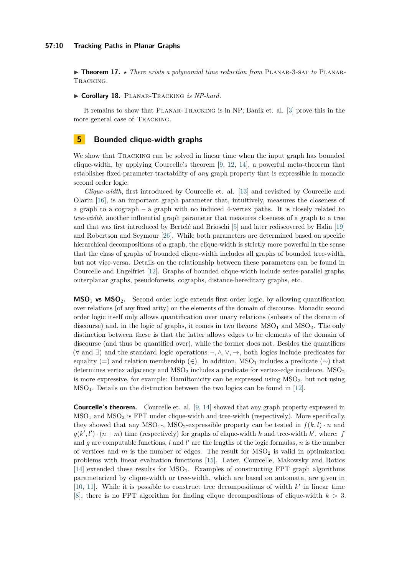▶ **Theorem 17.** *★ There exists a polynomial time reduction from* PLANAR-3-SAT *to* PLANAR-Tracking*.*

I **Corollary 18.** Planar-Tracking *is NP-hard.*

It remains to show that Planar-Tracking is in NP; Banik et. al. [\[3\]](#page-11-1) prove this in the more general case of Tracking.

### <span id="page-9-0"></span>**5 Bounded clique-width graphs**

We show that TRACKING can be solved in linear time when the input graph has bounded clique-width, by applying Courcelle's theorem [\[9,](#page-11-6) [12,](#page-12-9) [14\]](#page-12-10), a powerful meta-theorem that establishes fixed-parameter tractability of *any* graph property that is expressible in monadic second order logic.

*Clique-width*, first introduced by Courcelle et. al. [\[13\]](#page-12-11) and revisited by Courcelle and Olariu [\[16\]](#page-12-12), is an important graph parameter that, intuitively, measures the closeness of a graph to a cograph – a graph with no induced 4-vertex paths. It is closely related to *tree-width*, another influential graph parameter that measures closeness of a graph to a tree and that was first introduced by Bertelé and Brioschi [\[5\]](#page-11-7) and later rediscovered by Halin [\[19\]](#page-12-13) and Robertson and Seymour [\[26\]](#page-12-14). While both parameters are determined based on specific hierarchical decompositions of a graph, the clique-width is strictly more powerful in the sense that the class of graphs of bounded clique-width includes all graphs of bounded tree-width, but not vice-versa. Details on the relationship between these parameters can be found in Courcelle and Engelfriet [\[12\]](#page-12-9). Graphs of bounded clique-width include series-parallel graphs, outerplanar graphs, pseudoforests, cographs, distance-hereditary graphs, etc.

**MSO**<sup>1</sup> **vs MSO**2**.** Second order logic extends first order logic, by allowing quantification over relations (of any fixed arity) on the elements of the domain of discourse. Monadic second order logic itself only allows quantification over unary relations (subsets of the domain of discourse) and, in the logic of graphs, it comes in two flavors:  $MSO<sub>1</sub>$  and  $MSO<sub>2</sub>$ . The only distinction between these is that the latter allows edges to be elements of the domain of discourse (and thus be quantified over), while the former does not. Besides the quantifiers (∀ and ∃) and the standard logic operations ¬*,* ∧*,* ∨*,* →, both logics include predicates for equality (=) and relation membership (∈). In addition, MSO<sub>1</sub> includes a predicate ( $\sim$ ) that determines vertex adjacency and  $\text{MSO}_2$  includes a predicate for vertex-edge incidence.  $\text{MSO}_2$ is more expressive, for example: Hamiltonicity can be expressed using  $MSO<sub>2</sub>$ , but not using MSO1. Details on the distinction between the two logics can be found in [\[12\]](#page-12-9).

**Courcelle's theorem.** Courcelle et. al. [\[9,](#page-11-6) [14\]](#page-12-10) showed that any graph property expressed in  $MSO<sub>1</sub>$  and  $MSO<sub>2</sub>$  is FPT under clique-width and tree-width (respectively). More specifically, they showed that any  $MSO_1$ -,  $MSO_2$ -expressible property can be tested in  $f(k, l) \cdot n$  and  $g(k', l') \cdot (n + m)$  time (respectively) for graphs of clique-width *k* and tree-width *k'*, where: *f* and  $g$  are computable functions,  $l$  and  $l'$  are the lengths of the logic formulas,  $n$  is the number of vertices and  $m$  is the number of edges. The result for  $MSO<sub>2</sub>$  is valid in optimization problems with linear evaluation functions [\[15\]](#page-12-15). Later, Courcelle, Makowsky and Rotics [\[14\]](#page-12-10) extended these results for  $MSO<sub>1</sub>$ . Examples of constructing FPT graph algorithms parameterized by clique-width or tree-width, which are based on automata, are given in [\[10,](#page-11-8) [11\]](#page-12-16). While it is possible to construct tree decompositions of width  $k'$  in linear time [\[8\]](#page-11-9), there is no FPT algorithm for finding clique decompositions of clique-width *k >* 3.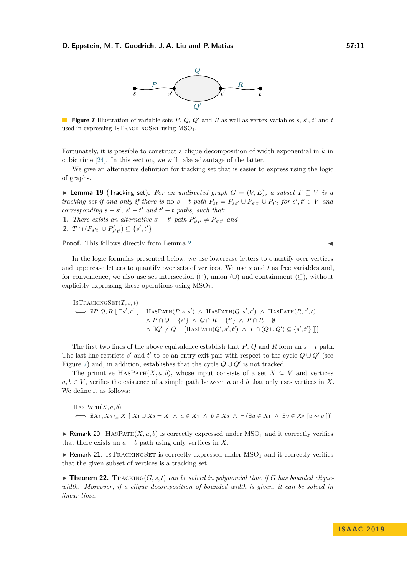

<span id="page-10-0"></span>**Figure 7** Illustration of variable sets  $P$ ,  $Q$ ,  $Q'$  and  $R$  as well as vertex variables  $s$ ,  $s'$ ,  $t'$  and  $t$ used in expressing ISTRACKINGSET using  $MSO<sub>1</sub>$ .

Fortunately, it is possible to construct a clique decomposition of width exponential in *k* in cubic time [\[24\]](#page-12-17). In this section, we will take advantage of the latter.

We give an alternative definition for tracking set that is easier to express using the logic of graphs.

<span id="page-10-1"></span>▶ **Lemma 19** (Tracking set). For an undirected graph  $G = (V, E)$ , a subset  $T \subseteq V$  is a tracking set if and only if there is no  $s-t$  path  $P_{st} = P_{ss'} \cup P_{s't'} \cup P_{t't}$  for  $s', t' \in V$  and  $corresponding$   $s - s'$ ,  $s' - t'$  and  $t' - t$  paths, such that:

**1.** *There exists an alternative*  $s' - t'$  *path*  $P'_{s't'} \neq P_{s't'}$  and

**2.**  $T \cap (P_{s't'} \cup P'_{s't'}) \subseteq \{s', t'\}.$ 

Proof. This follows directly from Lemma [2.](#page-2-5)

In the logic formulas presented below, we use lowercase letters to quantify over vertices and uppercase letters to quantify over sets of vertices. We use *s* and *t* as free variables and, for convenience, we also use set intersection  $(\cap)$ , union  $(\cup)$  and containment  $(\subseteq)$ , without explicitly expressing these operations using  $MSO<sub>1</sub>$ .

 $ISTRACTIR$  $F(T, s, t)$  $\iff \nexists P, Q, R \mid \exists s', t' \mid \text{HasPart}(P, s, s') \land \text{HasPart}(Q, s', t') \land \text{HasPart}(R, t', t)$  $\land$  *P* ∩ *Q* = {*s*<sup>'</sup>}  $\land$  *Q* ∩ *R* = {*t*<sup>'</sup>}  $\land$  *P* ∩ *R* = Ø  $\land \exists Q' \neq Q$  [HASPATH( $Q', s', t'$ )  $\land T \cap (Q \cup Q') \subseteq \{s', t'\}$ ]]]

The first two lines of the above equivalence establish that  $P$ ,  $Q$  and  $R$  form an  $s - t$  path. The last line restricts *s*' and *t'* to be an entry-exit pair with respect to the cycle  $Q \cup Q'$  (see Figure [7\)](#page-10-0) and, in addition, establishes that the cycle  $Q \cup Q'$  is not tracked.

The primitive HASPATH $(X, a, b)$ , whose input consists of a set  $X \subseteq V$  and vertices  $a, b \in V$ , verifies the existence of a simple path between a and b that only uses vertices in X. We define it as follows:

 $H$ ASPATH $(X, a, b)$  $\iff \nexists X_1, X_2 \subseteq X \mid X_1 \cup X_2 = X \land a \in X_1 \land b \in X_2 \land \neg (\exists u \in X_1 \land \exists v \in X_2 \ [u \sim v])]$ 

<span id="page-10-2"></span>**IF Remark 20.** HASPATH $(X, a, b)$  is correctly expressed under  $MSO<sub>1</sub>$  and it correctly verifies that there exists an  $a - b$  path using only vertices in X.

<span id="page-10-3"></span>**F** Remark 21. ISTRACKINGSET is correctly expressed under  $MSO<sub>1</sub>$  and it correctly verifies that the given subset of vertices is a tracking set.

 $\blacktriangleright$  **Theorem 22.** Tracking  $(G, s, t)$  can be solved in polynomial time if G has bounded clique*width. Moreover, if a clique decomposition of bounded width is given, it can be solved in linear time.*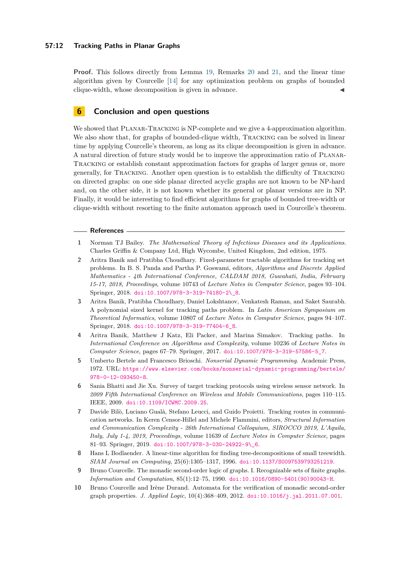#### **57:12 Tracking Paths in Planar Graphs**

**Proof.** This follows directly from Lemma [19,](#page-10-1) Remarks [20](#page-10-2) and [21,](#page-10-3) and the linear time algorithm given by Courcelle [\[14\]](#page-12-10) for any optimization problem on graphs of bounded clique-width, whose decomposition is given in advance.

# **6 Conclusion and open questions**

We showed that PLANAR-TRACKING is NP-complete and we give a 4-approximation algorithm. We also show that, for graphs of bounded-clique width, TRACKING can be solved in linear time by applying Courcelle's theorem, as long as its clique decomposition is given in advance. A natural direction of future study would be to improve the approximation ratio of Planar-Tracking or establish constant approximation factors for graphs of larger genus or, more generally, for Tracking. Another open question is to establish the difficulty of Tracking on directed graphs: on one side planar directed acyclic graphs are not known to be NP-hard and, on the other side, it is not known whether its general or planar versions are in NP. Finally, it would be interesting to find efficient algorithms for graphs of bounded tree-width or clique-width without resorting to the finite automaton approach used in Courcelle's theorem.

#### **References**

- <span id="page-11-3"></span>**1** Norman TJ Bailey. *The Mathematical Theory of Infectious Diseases and its Applications*. Charles Griffin & Company Ltd, High Wycombe, United Kingdom, 2nd edition, 1975.
- <span id="page-11-5"></span>**2** Aritra Banik and Pratibha Choudhary. Fixed-parameter tractable algorithms for tracking set problems. In B. S. Panda and Partha P. Goswami, editors, *Algorithms and Discrete Applied Mathematics - 4th International Conference, CALDAM 2018, Guwahati, India, February 15-17, 2018, Proceedings*, volume 10743 of *Lecture Notes in Computer Science*, pages 93–104. Springer, 2018. [doi:10.1007/978-3-319-74180-2\\\_8](https://doi.org/10.1007/978-3-319-74180-2_8).
- <span id="page-11-1"></span>**3** Aritra Banik, Pratibha Choudhary, Daniel Lokshtanov, Venkatesh Raman, and Saket Saurabh. A polynomial sized kernel for tracking paths problem. In *Latin American Symposium on Theoretical Informatics*, volume 10807 of *Lecture Notes in Computer Science*, pages 94–107. Springer, 2018. [doi:10.1007/978-3-319-77404-6\\_8](https://doi.org/10.1007/978-3-319-77404-6_8).
- <span id="page-11-0"></span>**4** Aritra Banik, Matthew J Katz, Eli Packer, and Marina Simakov. Tracking paths. In *International Conference on Algorithms and Complexity*, volume 10236 of *Lecture Notes in Computer Science*, pages 67–79. Springer, 2017. [doi:10.1007/978-3-319-57586-5\\_7](https://doi.org/10.1007/978-3-319-57586-5_7).
- <span id="page-11-7"></span>**5** Umberto Bertele and Francesco Brioschi. *Nonserial Dynamic Programming*. Academic Press, 1972. URL: [https://www.elsevier.com/books/nonserial-dynamic-programming/bertele/](https://www.elsevier.com/books/nonserial-dynamic-programming/bertele/978-0-12-093450-8) [978-0-12-093450-8](https://www.elsevier.com/books/nonserial-dynamic-programming/bertele/978-0-12-093450-8).
- <span id="page-11-2"></span>**6** Sania Bhatti and Jie Xu. Survey of target tracking protocols using wireless sensor network. In *2009 Fifth International Conference on Wireless and Mobile Communications*, pages 110–115. IEEE, 2009. [doi:10.1109/ICWMC.2009.25](https://doi.org/10.1109/ICWMC.2009.25).
- <span id="page-11-4"></span>**7** Davide Bilò, Luciano Gualà, Stefano Leucci, and Guido Proietti. Tracking routes in communication networks. In Keren Censor-Hillel and Michele Flammini, editors, *Structural Information and Communication Complexity - 26th International Colloquium, SIROCCO 2019, L'Aquila, Italy, July 1-4, 2019, Proceedings*, volume 11639 of *Lecture Notes in Computer Science*, pages 81–93. Springer, 2019. [doi:10.1007/978-3-030-24922-9\\\_6](https://doi.org/10.1007/978-3-030-24922-9_6).
- <span id="page-11-9"></span>**8** Hans L Bodlaender. A linear-time algorithm for finding tree-decompositions of small treewidth. *SIAM Journal on Computing*, 25(6):1305–1317, 1996. [doi:10.1137/S0097539793251219](https://doi.org/10.1137/S0097539793251219).
- <span id="page-11-6"></span>**9** Bruno Courcelle. The monadic second-order logic of graphs. I. Recognizable sets of finite graphs. *Information and Computation*, 85(1):12–75, 1990. [doi:10.1016/0890-5401\(90\)90043-H](https://doi.org/10.1016/0890-5401(90)90043-H).
- <span id="page-11-8"></span>**10** Bruno Courcelle and Irène Durand. Automata for the verification of monadic second-order graph properties. *J. Applied Logic*, 10(4):368–409, 2012. [doi:10.1016/j.jal.2011.07.001](https://doi.org/10.1016/j.jal.2011.07.001).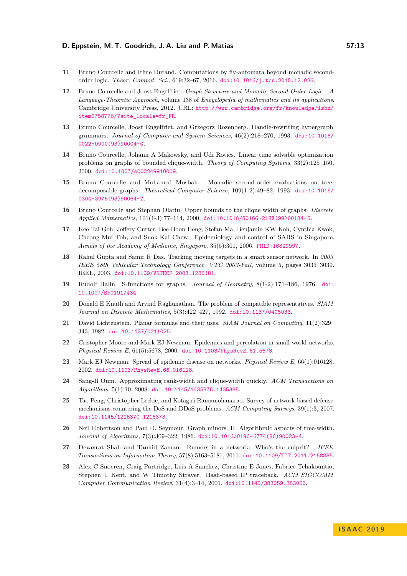- <span id="page-12-16"></span>**11** Bruno Courcelle and Irène Durand. Computations by fly-automata beyond monadic secondorder logic. *Theor. Comput. Sci.*, 619:32–67, 2016. [doi:10.1016/j.tcs.2015.12.026](https://doi.org/10.1016/j.tcs.2015.12.026).
- <span id="page-12-9"></span>**12** Bruno Courcelle and Joost Engelfriet. *Graph Structure and Monadic Second-Order Logic - A Language-Theoretic Approach*, volume 138 of *Encyclopedia of mathematics and its applications*. Cambridge University Press, 2012. URL: [http://www.cambridge.org/fr/knowledge/isbn/](http://www.cambridge.org/fr/knowledge/isbn/item5758776/?site_locale=fr_FR) [item5758776/?site\\_locale=fr\\_FR](http://www.cambridge.org/fr/knowledge/isbn/item5758776/?site_locale=fr_FR).
- <span id="page-12-11"></span>**13** Bruno Courcelle, Joost Engelfriet, and Grzegorz Rozenberg. Handle-rewriting hypergraph grammars. *Journal of Computer and System Sciences*, 46(2):218–270, 1993. [doi:10.1016/](https://doi.org/10.1016/0022-0000(93)90004-G) [0022-0000\(93\)90004-G](https://doi.org/10.1016/0022-0000(93)90004-G).
- <span id="page-12-10"></span>**14** Bruno Courcelle, Johann A Makowsky, and Udi Rotics. Linear time solvable optimization problems on graphs of bounded clique-width. *Theory of Computing Systems*, 33(2):125–150, 2000. [doi:10.1007/s002249910009](https://doi.org/10.1007/s002249910009).
- <span id="page-12-15"></span>**15** Bruno Courcelle and Mohamed Mosbah. Monadic second-order evaluations on treedecomposable graphs. *Theoretical Computer Science*, 109(1-2):49–82, 1993. [doi:10.1016/](https://doi.org/10.1016/0304-3975(93)90064-Z) [0304-3975\(93\)90064-Z](https://doi.org/10.1016/0304-3975(93)90064-Z).
- <span id="page-12-12"></span>**16** Bruno Courcelle and Stephan Olariu. Upper bounds to the clique width of graphs. *Discrete Applied Mathematics*, 101(1-3):77–114, 2000. [doi:10.1016/S0166-218X\(99\)00184-5](https://doi.org/10.1016/S0166-218X(99)00184-5).
- <span id="page-12-0"></span>**17** Kee-Tai Goh, Jeffery Cutter, Bee-Hoon Heng, Stefan Ma, Benjamin KW Koh, Cynthia Kwok, Cheong-Mui Toh, and Suok-Kai Chew. Epidemiology and control of SARS in Singapore. *Annals of the Academy of Medicine, Singapore*, 35(5):301, 2006. [PMID:16829997](http://www.ncbi.nlm.nih.gov/pubmed/16829997).
- <span id="page-12-1"></span>**18** Rahul Gupta and Samir R Das. Tracking moving targets in a smart sensor network. In *2003 IEEE 58th Vehicular Technology Conference. VTC 2003-Fall*, volume 5, pages 3035–3039. IEEE, 2003. [doi:10.1109/VETECF.2003.1286181](https://doi.org/10.1109/VETECF.2003.1286181).
- <span id="page-12-13"></span>**19** Rudolf Halin. S-functions for graphs. *Journal of Geometry*, 8(1-2):171–186, 1976. [doi:](https://doi.org/10.1007/BF01917434) [10.1007/BF01917434](https://doi.org/10.1007/BF01917434).
- <span id="page-12-8"></span>**20** Donald E Knuth and Arvind Raghunathan. The problem of compatible representatives. *SIAM Journal on Discrete Mathematics*, 5(3):422–427, 1992. [doi:10.1137/0405033](https://doi.org/10.1137/0405033).
- <span id="page-12-7"></span>**21** David Lichtenstein. Planar formulae and their uses. *SIAM Journal on Computing*, 11(2):329– 343, 1982. [doi:10.1137/0211025](https://doi.org/10.1137/0211025).
- <span id="page-12-4"></span>**22** Cristopher Moore and Mark EJ Newman. Epidemics and percolation in small-world networks. *Physical Review E*, 61(5):5678, 2000. [doi:10.1103/PhysRevE.61.5678](https://doi.org/10.1103/PhysRevE.61.5678).
- <span id="page-12-5"></span>**23** Mark EJ Newman. Spread of epidemic disease on networks. *Physical Review E*, 66(1):016128, 2002. [doi:10.1103/PhysRevE.66.016128](https://doi.org/10.1103/PhysRevE.66.016128).
- <span id="page-12-17"></span>**24** Sang-Il Oum. Approximating rank-width and clique-width quickly. *ACM Transactions on Algorithms*, 5(1):10, 2008. [doi:10.1145/1435375.1435385](https://doi.org/10.1145/1435375.1435385).
- <span id="page-12-2"></span>**25** Tao Peng, Christopher Leckie, and Kotagiri Ramamohanarao. Survey of network-based defense mechanisms countering the DoS and DDoS problems. *ACM Computing Surveys*, 39(1):3, 2007. [doi:10.1145/1216370.1216373](https://doi.org/10.1145/1216370.1216373).
- <span id="page-12-14"></span>**26** Neil Robertson and Paul D. Seymour. Graph minors. II. Algorithmic aspects of tree-width. *Journal of Algorithms*, 7(3):309–322, 1986. [doi:10.1016/0196-6774\(86\)90023-4](https://doi.org/10.1016/0196-6774(86)90023-4).
- <span id="page-12-6"></span>**27** Devavrat Shah and Tauhid Zaman. Rumors in a network: Who's the culprit? *IEEE Transactions on Information Theory*, 57(8):5163–5181, 2011. [doi:10.1109/TIT.2011.2158885](https://doi.org/10.1109/TIT.2011.2158885).
- <span id="page-12-3"></span>**28** Alex C Snoeren, Craig Partridge, Luis A Sanchez, Christine E Jones, Fabrice Tchakountio, Stephen T Kent, and W Timothy Strayer. Hash-based IP traceback. *ACM SIGCOMM Computer Communication Review*, 31(4):3–14, 2001. [doi:10.1145/383059.383060](https://doi.org/10.1145/383059.383060).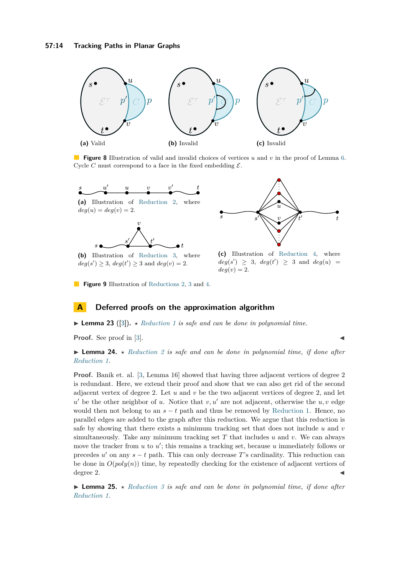<span id="page-13-0"></span>

**Figure 8** Illustration of valid and invalid choices of vertices *u* and *v* in the proof of Lemma [6.](#page-3-1) Cycle *C* must correspond to a face in the fixed embedding  $\mathcal{E}$ .

<span id="page-13-1"></span>



**(b)** Illustration of [Reduction 3,](#page-5-2) where  $deg(s') \geq 3$ ,  $deg(t') \geq 3$  and  $deg(v) = 2$ .

**(c)** Illustration of [Reduction 4,](#page-5-3) where

 $deg(s') \geq 3$ ,  $deg(t') \geq 3$  and  $deg(u) =$  $deg(v) = 2$ .

**Figure 9** Illustration of [Reductions 2,](#page-5-1) [3](#page-5-2) and [4.](#page-5-3)

# **A Deferred proofs on the approximation algorithm**

 $\blacktriangleright$  **Lemma 23** ([\[3\]](#page-11-1)).  $\star$  *[Reduction 1](#page-3-0) is safe and can be done in polynomial time.* 

**Proof.** See proof in [\[3\]](#page-11-1).

# **• Lemma 24.** *\** [Reduction 2](#page-5-1) is safe and can be done in polynomial time, if done after *[Reduction 1.](#page-3-0)*

**Proof.** Banik et. al. [\[3,](#page-11-1) Lemma 16] showed that having three adjacent vertices of degree 2 is redundant. Here, we extend their proof and show that we can also get rid of the second adjacent vertex of degree 2. Let  $u$  and  $v$  be the two adjacent vertices of degree 2, and let  $u'$  be the other neighbor of *u*. Notice that  $v, u'$  are not adjacent, otherwise the  $u, v$  edge would then not belong to an  $s - t$  path and thus be removed by [Reduction 1.](#page-3-0) Hence, no parallel edges are added to the graph after this reduction. We argue that this reduction is safe by showing that there exists a minimum tracking set that does not include *u* and *v* simultaneously. Take any minimum tracking set *T* that includes *u* and *v*. We can always move the tracker from  $u$  to  $u'$ ; this remains a tracking set, because  $u$  immediately follows or precedes  $u'$  on any  $s - t$  path. This can only decrease T's cardinality. This reduction can be done in  $O(poly(n))$  time, by repeatedly checking for the existence of adjacent vertices of degree 2.  $\blacksquare$ 

**I Lemma 25.**  $\star$  *[Reduction 3](#page-5-2) is safe and can be done in polynomial time, if done after [Reduction 1.](#page-3-0)*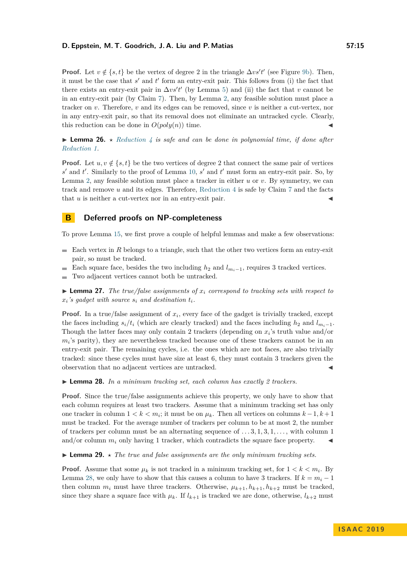**Proof.** Let  $v \notin \{s, t\}$  be the vertex of degree 2 in the triangle  $\Delta vs't'$  (see Figure [9b\)](#page-13-1). Then, it must be the case that  $s'$  and  $t'$  form an entry-exit pair. This follows from (i) the fact that there exists an entry-exit pair in  $\Delta vs't'$  (by Lemma [5\)](#page-3-2) and (ii) the fact that *v* cannot be in an entry-exit pair (by Claim [7\)](#page-5-4). Then, by Lemma [2,](#page-2-5) any feasible solution must place a tracker on *v*. Therefore, *v* and its edges can be removed, since *v* is neither a cut-vertex, nor in any entry-exit pair, so that its removal does not eliminate an untracked cycle. Clearly, this reduction can be done in  $O(poly(n))$  time.

**Lemma 26.**  $\star$  *[Reduction 4](#page-5-3) is safe and can be done in polynomial time, if done after [Reduction 1.](#page-3-0)*

**Proof.** Let  $u, v \notin \{s, t\}$  be the two vertices of degree 2 that connect the same pair of vertices  $s'$  and  $t'$ . Similarly to the proof of Lemma [10,](#page-6-1)  $s'$  and  $t'$  must form an entry-exit pair. So, by Lemma [2,](#page-2-5) any feasible solution must place a tracker in either *u* or *v*. By symmetry, we can track and remove *u* and its edges. Therefore, [Reduction 4](#page-5-3) is safe by Claim [7](#page-5-4) and the facts that  $u$  is neither a cut-vertex nor in an entry-exit pair.

# **B Deferred proofs on NP-completeness**

To prove Lemma [15,](#page-7-1) we first prove a couple of helpful lemmas and make a few observations:

- $\blacksquare$  Each vertex in *R* belongs to a triangle, such that the other two vertices form an entry-exit pair, so must be tracked.
- Each square face, besides the two including  $h_2$  and  $l_{m_i-1}$ , requires 3 tracked vertices.
- Two adjacent vertices cannot both be untracked.  $\sim$

<span id="page-14-1"></span> $\triangleright$  **Lemma 27.** The true/false assignments of  $x_i$  correspond to tracking sets with respect to  $x_i$ 's gadget with source  $s_i$  and destination  $t_i$ .

**Proof.** In a true/false assignment of  $x_i$ , every face of the gadget is trivially tracked, except the faces including  $s_i/t_i$  (which are clearly tracked) and the faces including  $h_2$  and  $l_{m_i-1}$ . Though the latter faces may only contain 2 trackers (depending on  $x_i$ 's truth value and/or  $m_i$ 's parity), they are nevertheless tracked because one of these trackers cannot be in an entry-exit pair. The remaining cycles, i.e. the ones which are not faces, are also trivially tracked: since these cycles must have size at least 6, they must contain 3 trackers given the observation that no adjacent vertices are untracked.

<span id="page-14-0"></span>I **Lemma 28.** *In a minimum tracking set, each column has exactly 2 trackers.*

**Proof.** Since the true/false assignments achieve this property, we only have to show that each column requires at least two trackers. Assume that a minimum tracking set has only one tracker in column  $1 < k < m_i$ ; it must be on  $\mu_k$ . Then all vertices on columns  $k - 1, k + 1$ must be tracked. For the average number of trackers per column to be at most 2, the number of trackers per column must be an alternating sequence of *. . .* 3*,* 1*,* 3*,* 1*, . . .* , with column 1 and/or column  $m_i$  only having 1 tracker, which contradicts the square face property.

**Lemma 29.**  $\star$  *The true and false assignments are the only minimum tracking sets.* 

**Proof.** Assume that some  $\mu_k$  is not tracked in a minimum tracking set, for  $1 < k < m_i$ . By Lemma [28,](#page-14-0) we only have to show that this causes a column to have 3 trackers. If  $k = m_i - 1$ then column  $m_i$  must have three trackers. Otherwise,  $\mu_{k+1}, h_{k+1}, h_{k+2}$  must be tracked, since they share a square face with  $\mu_k$ . If  $l_{k+1}$  is tracked we are done, otherwise,  $l_{k+2}$  must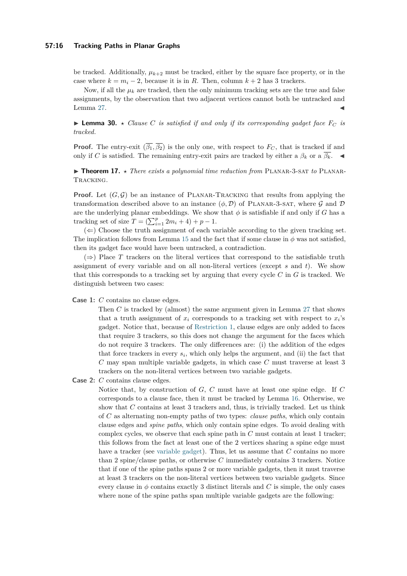#### **57:16 Tracking Paths in Planar Graphs**

be tracked. Additionally,  $\mu_{k+2}$  must be tracked, either by the square face property, or in the case where  $k = m_i - 2$ , because it is in *R*. Then, column  $k + 2$  has 3 trackers.

Now, if all the  $\mu_k$  are tracked, then the only minimum tracking sets are the true and false assignments, by the observation that two adjacent vertices cannot both be untracked and Lemma [27.](#page-14-1)  $\blacksquare$ 

 $\triangleright$  **Lemma 30.**  $\star$  *Clause C is satisfied if and only if its corresponding gadget face*  $F_C$  *is tracked.*

**Proof.** The entry-exit  $(\overline{\beta_1}, \overline{\beta_2})$  is the only one, with respect to  $F_C$ , that is tracked if and only if *C* is satisfied. The remaining entry-exit pairs are tracked by either a  $\beta_k$  or a  $\overline{\beta_k}$ .

▶ **Theorem 17.** *\* There exists a polynomial time reduction from* PLANAR-3-SAT *to* PLANAR-Tracking*.*

**Proof.** Let  $(G, \mathcal{G})$  be an instance of PLANAR-TRACKING that results from applying the transformation described above to an instance  $(\phi, \mathcal{D})$  of PLANAR-3-SAT, where G and D are the underlying planar embeddings. We show that  $\phi$  is satisfiable if and only if *G* has a tracking set of size  $T = (\sum_{i=1}^{p} 2m_i + 4) + p - 1$ .

 $(\Leftarrow)$  Choose the truth assignment of each variable according to the given tracking set. The implication follows from Lemma [15](#page-7-1) and the fact that if some clause in  $\phi$  was not satisfied, then its gadget face would have been untracked, a contradiction.

 $(\Rightarrow)$  Place *T* trackers on the literal vertices that correspond to the satisfiable truth assignment of every variable and on all non-literal vertices (except *s* and *t*). We show that this corresponds to a tracking set by arguing that every cycle *C* in *G* is tracked. We distinguish between two cases:

**Case 1:** *C* contains no clause edges.

Then *C* is tracked by (almost) the same argument given in Lemma [27](#page-14-1) that shows that a truth assignment of  $x_i$  corresponds to a tracking set with respect to  $x_i$ 's gadget. Notice that, because of [Restriction 1,](#page-8-2) clause edges are only added to faces that require 3 trackers, so this does not change the argument for the faces which do not require 3 trackers. The only differences are: (i) the addition of the edges that force trackers in every  $s_i$ , which only helps the argument, and (ii) the fact that *C* may span multiple variable gadgets, in which case *C* must traverse at least 3 trackers on the non-literal vertices between two variable gadgets.

**Case 2:** *C* contains clause edges.

Notice that, by construction of *G*, *C* must have at least one spine edge. If *C* corresponds to a clause face, then it must be tracked by Lemma [16.](#page-8-3) Otherwise, we show that *C* contains at least 3 trackers and, thus, is trivially tracked. Let us think of *C* as alternating non-empty paths of two types: *clause paths*, which only contain clause edges and *spine paths*, which only contain spine edges. To avoid dealing with complex cycles, we observe that each spine path in *C* must contain at least 1 tracker; this follows from the fact at least one of the 2 vertices sharing a spine edge must have a tracker (see [variable gadget\)](#page-7-2). Thus, let us assume that *C* contains no more than 2 spine/clause paths, or otherwise *C* immediately contains 3 trackers. Notice that if one of the spine paths spans 2 or more variable gadgets, then it must traverse at least 3 trackers on the non-literal vertices between two variable gadgets. Since every clause in  $\phi$  contains exactly 3 distinct literals and *C* is simple, the only cases where none of the spine paths span multiple variable gadgets are the following: